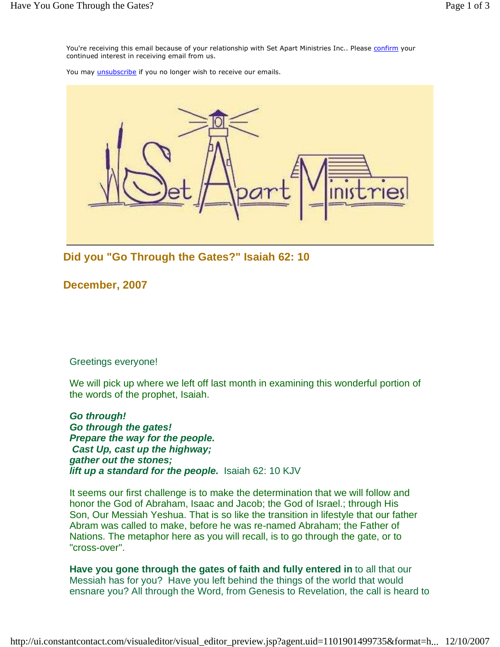You're receiving this email because of your relationship with Set Apart Ministries Inc.. Please confirm your continued interest in receiving email from us.

You may *unsubscribe* if you no longer wish to receive our emails.



**Did you "Go Through the Gates?" Isaiah 62: 10**

**December, 2007** 

Greetings everyone!

We will pick up where we left off last month in examining this wonderful portion of the words of the prophet, Isaiah.

**Go through! Go through the gates! Prepare the way for the people. Cast Up, cast up the highway; gather out the stones; lift up a standard for the people.** Isaiah 62: 10 KJV

It seems our first challenge is to make the determination that we will follow and honor the God of Abraham, Isaac and Jacob; the God of Israel.; through His Son, Our Messiah Yeshua. That is so like the transition in lifestyle that our father Abram was called to make, before he was re-named Abraham; the Father of Nations. The metaphor here as you will recall, is to go through the gate, or to "cross-over".

**Have you gone through the gates of faith and fully entered in** to all that our Messiah has for you? Have you left behind the things of the world that would ensnare you? All through the Word, from Genesis to Revelation, the call is heard to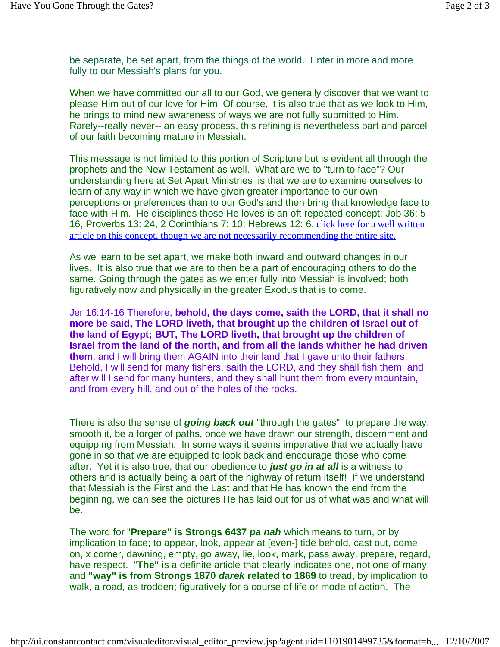be separate, be set apart, from the things of the world. Enter in more and more fully to our Messiah's plans for you.

When we have committed our all to our God, we generally discover that we want to please Him out of our love for Him. Of course, it is also true that as we look to Him, he brings to mind new awareness of ways we are not fully submitted to Him. Rarely--really never-- an easy process, this refining is nevertheless part and parcel of our faith becoming mature in Messiah.

This message is not limited to this portion of Scripture but is evident all through the prophets and the New Testament as well. What are we to "turn to face"? Our understanding here at Set Apart Ministries is that we are to examine ourselves to learn of any way in which we have given greater importance to our own perceptions or preferences than to our God's and then bring that knowledge face to face with Him. He disciplines those He loves is an oft repeated concept: Job 36: 5- 16, Proverbs 13: 24, 2 Corinthians 7: 10; Hebrews 12: 6. click here for a well written article on this concept, though we are not necessarily recommending the entire site.

As we learn to be set apart, we make both inward and outward changes in our lives. It is also true that we are to then be a part of encouraging others to do the same. Going through the gates as we enter fully into Messiah is involved; both figuratively now and physically in the greater Exodus that is to come.

Jer 16:14-16 Therefore, **behold, the days come, saith the LORD, that it shall no more be said, The LORD liveth, that brought up the children of Israel out of the land of Egypt; BUT, The LORD liveth, that brought up the children of Israel from the land of the north, and from all the lands whither he had driven them**: and I will bring them AGAIN into their land that I gave unto their fathers. Behold, I will send for many fishers, saith the LORD, and they shall fish them; and after will I send for many hunters, and they shall hunt them from every mountain, and from every hill, and out of the holes of the rocks.

There is also the sense of **going back out** "through the gates" to prepare the way, smooth it, be a forger of paths, once we have drawn our strength, discernment and equipping from Messiah. In some ways it seems imperative that we actually have gone in so that we are equipped to look back and encourage those who come after. Yet it is also true, that our obedience to **just go in at all** is a witness to others and is actually being a part of the highway of return itself! If we understand that Messiah is the First and the Last and that He has known the end from the beginning, we can see the pictures He has laid out for us of what was and what will be.

The word for "**Prepare" is Strongs 6437 pa nah** which means to turn, or by implication to face; to appear, look, appear at [even-] tide behold, cast out, come on, x corner, dawning, empty, go away, lie, look, mark, pass away, prepare, regard, have respect. "**The"** is a definite article that clearly indicates one, not one of many; and **"way" is from Strongs 1870 darek related to 1869** to tread, by implication to walk, a road, as trodden; figuratively for a course of life or mode of action. The